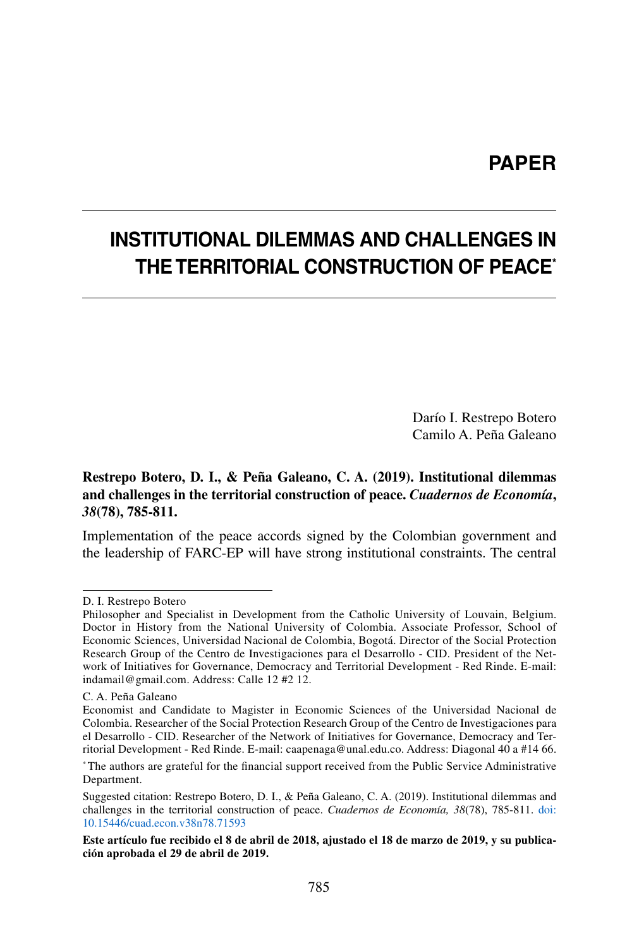## **PAPER**

# **INSTITUTIONAL DILEMMAS AND CHALLENGES IN THE TERRITORIAL CONSTRUCTION OF PEACE\***

Darío I. Restrepo Botero Camilo A. Peña Galeano

#### **Restrepo Botero, D. I., & Peña Galeano, C. A. (2019). Institutional dilemmas and challenges in the territorial construction of peace.** *Cuadernos de Economía***,**  *38***(78), 785-811.**

Implementation of the peace accords signed by the Colombian government and the leadership of FARC-EP will have strong institutional constraints. The central

D. I. Restrepo Botero

Philosopher and Specialist in Development from the Catholic University of Louvain, Belgium. Doctor in History from the National University of Colombia. Associate Professor, School of Economic Sciences, Universidad Nacional de Colombia, Bogotá. Director of the Social Protection Research Group of the Centro de Investigaciones para el Desarrollo - CID. President of the Network of Initiatives for Governance, Democracy and Territorial Development - Red Rinde. E-mail: indamail@gmail.com. Address: Calle 12 #2 12.

C. A. Peña Galeano

Economist and Candidate to Magister in Economic Sciences of the Universidad Nacional de Colombia. Researcher of the Social Protection Research Group of the Centro de Investigaciones para el Desarrollo - CID. Researcher of the Network of Initiatives for Governance, Democracy and Territorial Development - Red Rinde. E-mail: caapenaga@unal.edu.co. Address: Diagonal 40 a #14 66.

<sup>\*</sup> The authors are grateful for the financial support received from the Public Service Administrative Department.

Suggested citation: Restrepo Botero, D. I., & Peña Galeano, C. A. (2019). Institutional dilemmas and challenges in the territorial construction of peace. *Cuadernos de Economía, 38*(78), 785-811. doi: [10.15446/cuad.econ.v38n78.71593](https://doi.org/10.15446/cuad.econ.v38n78.71593)

**Este artículo fue recibido el 8 de abril de 2018, ajustado el 18 de marzo de 2019, y su publicación aprobada el 29 de abril de 2019.**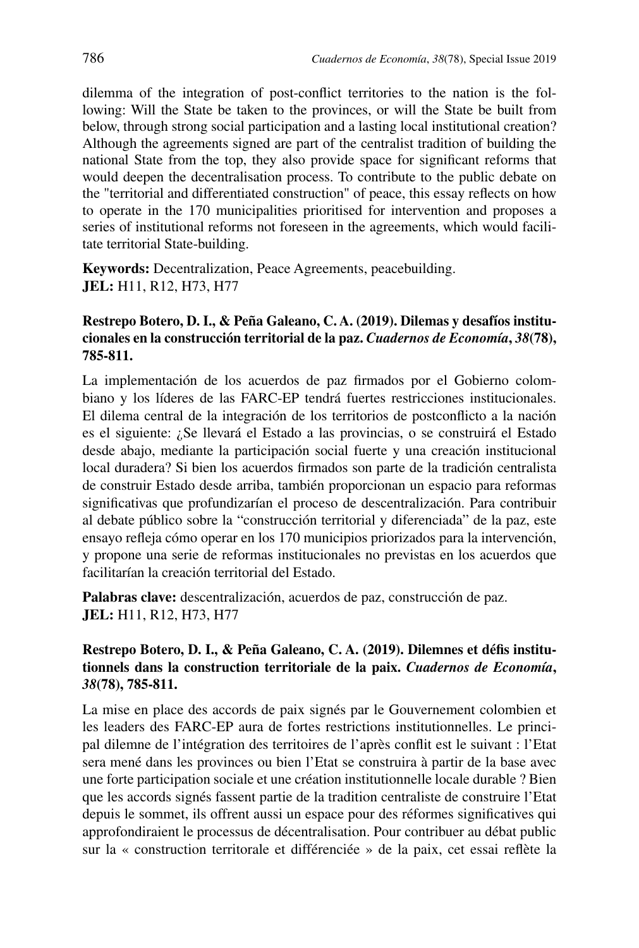dilemma of the integration of post-conflict territories to the nation is the following: Will the State be taken to the provinces, or will the State be built from below, through strong social participation and a lasting local institutional creation? Although the agreements signed are part of the centralist tradition of building the national State from the top, they also provide space for significant reforms that would deepen the decentralisation process. To contribute to the public debate on the "territorial and differentiated construction" of peace, this essay reflects on how to operate in the 170 municipalities prioritised for intervention and proposes a series of institutional reforms not foreseen in the agreements, which would facilitate territorial State-building.

**Keywords:** Decentralization, Peace Agreements, peacebuilding. **JEL:** H11, R12, H73, H77

#### **Restrepo Botero, D. I., & Peña Galeano, C. A. (2019). Dilemas y desafíos institucionales en la construcción territorial de la paz.** *Cuadernos de Economía***,** *38***(78), 785-811.**

La implementación de los acuerdos de paz firmados por el Gobierno colombiano y los líderes de las FARC-EP tendrá fuertes restricciones institucionales. El dilema central de la integración de los territorios de postconflicto a la nación es el siguiente: ¿Se llevará el Estado a las provincias, o se construirá el Estado desde abajo, mediante la participación social fuerte y una creación institucional local duradera? Si bien los acuerdos firmados son parte de la tradición centralista de construir Estado desde arriba, también proporcionan un espacio para reformas significativas que profundizarían el proceso de descentralización. Para contribuir al debate público sobre la "construcción territorial y diferenciada" de la paz, este ensayo refleja cómo operar en los 170 municipios priorizados para la intervención, y propone una serie de reformas institucionales no previstas en los acuerdos que facilitarían la creación territorial del Estado.

**Palabras clave:** descentralización, acuerdos de paz, construcción de paz. **JEL:** H11, R12, H73, H77

#### **Restrepo Botero, D. I., & Peña Galeano, C. A. (2019). Dilemnes et défis institutionnels dans la construction territoriale de la paix.** *Cuadernos de Economía***,**  *38***(78), 785-811.**

La mise en place des accords de paix signés par le Gouvernement colombien et les leaders des FARC-EP aura de fortes restrictions institutionnelles. Le principal dilemne de l'intégration des territoires de l'après conflit est le suivant : l'Etat sera mené dans les provinces ou bien l'Etat se construira à partir de la base avec une forte participation sociale et une création institutionnelle locale durable ? Bien que les accords signés fassent partie de la tradition centraliste de construire l'Etat depuis le sommet, ils offrent aussi un espace pour des réformes significatives qui approfondiraient le processus de décentralisation. Pour contribuer au débat public sur la « construction territorale et différenciée » de la paix, cet essai reflète la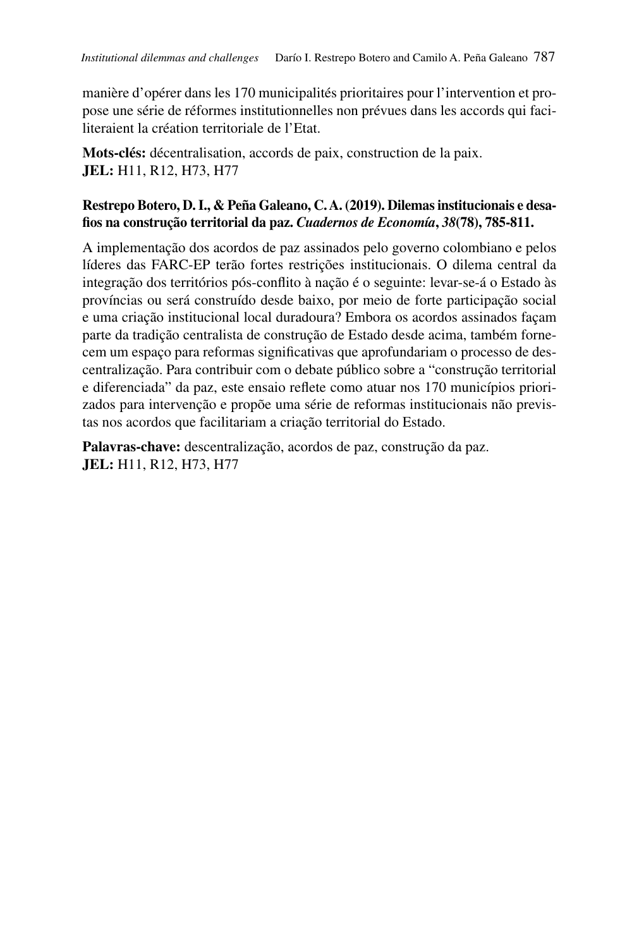manière d'opérer dans les 170 municipalités prioritaires pour l'intervention et propose une série de réformes institutionnelles non prévues dans les accords qui faciliteraient la création territoriale de l'Etat.

**Mots-clés:** décentralisation, accords de paix, construction de la paix. **JEL:** H11, R12, H73, H77

#### **Restrepo Botero, D. I., & Peña Galeano, C. A. (2019). Dilemas institucionais e desafios na construção territorial da paz.** *Cuadernos de Economía***,** *38***(78), 785-811.**

A implementação dos acordos de paz assinados pelo governo colombiano e pelos líderes das FARC-EP terão fortes restrições institucionais. O dilema central da integração dos territórios pós-conflito à nação é o seguinte: levar-se-á o Estado às províncias ou será construído desde baixo, por meio de forte participação social e uma criação institucional local duradoura? Embora os acordos assinados façam parte da tradição centralista de construção de Estado desde acima, também fornecem um espaço para reformas significativas que aprofundariam o processo de descentralização. Para contribuir com o debate público sobre a "construção territorial e diferenciada" da paz, este ensaio reflete como atuar nos 170 municípios priorizados para intervenção e propõe uma série de reformas institucionais não previstas nos acordos que facilitariam a criação territorial do Estado.

**Palavras-chave:** descentralização, acordos de paz, construção da paz. **JEL:** H11, R12, H73, H77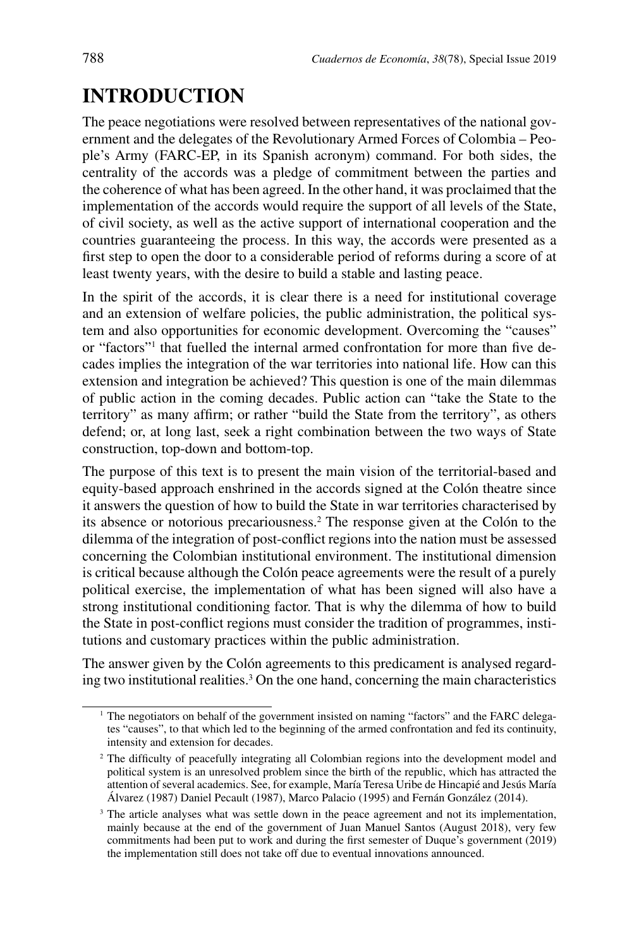# **INTRODUCTION**

The peace negotiations were resolved between representatives of the national government and the delegates of the Revolutionary Armed Forces of Colombia – People's Army (FARC-EP, in its Spanish acronym) command. For both sides, the centrality of the accords was a pledge of commitment between the parties and the coherence of what has been agreed. In the other hand, it was proclaimed that the implementation of the accords would require the support of all levels of the State, of civil society, as well as the active support of international cooperation and the countries guaranteeing the process. In this way, the accords were presented as a first step to open the door to a considerable period of reforms during a score of at least twenty years, with the desire to build a stable and lasting peace.

In the spirit of the accords, it is clear there is a need for institutional coverage and an extension of welfare policies, the public administration, the political system and also opportunities for economic development. Overcoming the "causes" or "factors"<sup>1</sup> that fuelled the internal armed confrontation for more than five decades implies the integration of the war territories into national life. How can this extension and integration be achieved? This question is one of the main dilemmas of public action in the coming decades. Public action can "take the State to the territory" as many affirm; or rather "build the State from the territory", as others defend; or, at long last, seek a right combination between the two ways of State construction, top-down and bottom-top.

The purpose of this text is to present the main vision of the territorial-based and equity-based approach enshrined in the accords signed at the Colón theatre since it answers the question of how to build the State in war territories characterised by its absence or notorious precariousness.<sup>2</sup> The response given at the Colón to the dilemma of the integration of post-conflict regions into the nation must be assessed concerning the Colombian institutional environment. The institutional dimension is critical because although the Colón peace agreements were the result of a purely political exercise, the implementation of what has been signed will also have a strong institutional conditioning factor. That is why the dilemma of how to build the State in post-conflict regions must consider the tradition of programmes, institutions and customary practices within the public administration.

The answer given by the Colón agreements to this predicament is analysed regarding two institutional realities.<sup>3</sup> On the one hand, concerning the main characteristics

<sup>&</sup>lt;sup>1</sup> The negotiators on behalf of the government insisted on naming "factors" and the FARC delegates "causes", to that which led to the beginning of the armed confrontation and fed its continuity, intensity and extension for decades.

<sup>&</sup>lt;sup>2</sup> The difficulty of peacefully integrating all Colombian regions into the development model and political system is an unresolved problem since the birth of the republic, which has attracted the attention of several academics. See, for example, María Teresa Uribe de Hincapié and Jesús María Álvarez (1987) Daniel Pecault (1987), Marco Palacio (1995) and Fernán González (2014).

<sup>&</sup>lt;sup>3</sup> The article analyses what was settle down in the peace agreement and not its implementation, mainly because at the end of the government of Juan Manuel Santos (August 2018), very few commitments had been put to work and during the first semester of Duque's government (2019) the implementation still does not take off due to eventual innovations announced.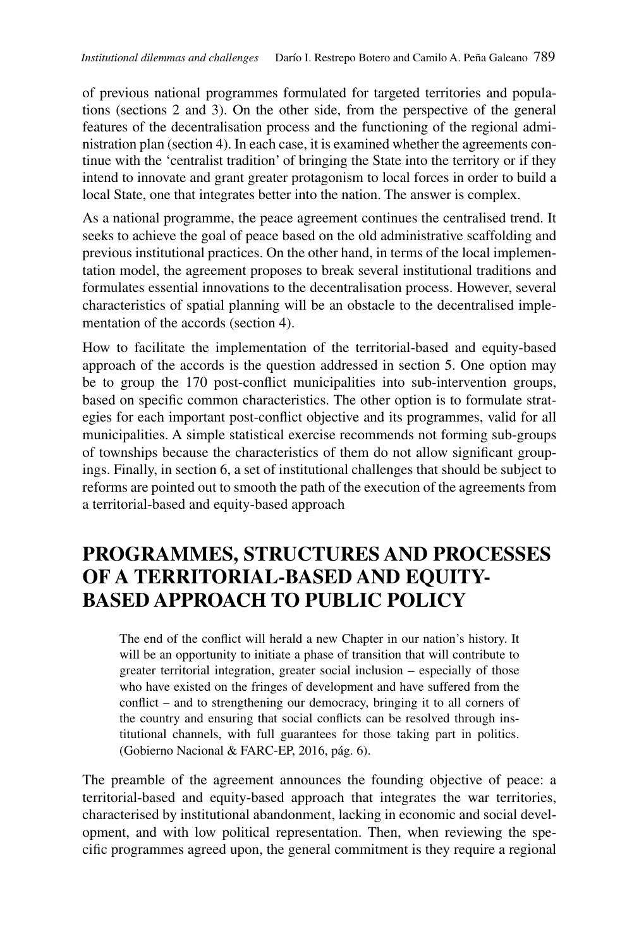of previous national programmes formulated for targeted territories and populations (sections 2 and 3). On the other side, from the perspective of the general features of the decentralisation process and the functioning of the regional administration plan (section 4). In each case, it is examined whether the agreements continue with the 'centralist tradition' of bringing the State into the territory or if they intend to innovate and grant greater protagonism to local forces in order to build a local State, one that integrates better into the nation. The answer is complex.

As a national programme, the peace agreement continues the centralised trend. It seeks to achieve the goal of peace based on the old administrative scaffolding and previous institutional practices. On the other hand, in terms of the local implementation model, the agreement proposes to break several institutional traditions and formulates essential innovations to the decentralisation process. However, several characteristics of spatial planning will be an obstacle to the decentralised implementation of the accords (section 4).

How to facilitate the implementation of the territorial-based and equity-based approach of the accords is the question addressed in section 5. One option may be to group the 170 post-conflict municipalities into sub-intervention groups, based on specific common characteristics. The other option is to formulate strategies for each important post-conflict objective and its programmes, valid for all municipalities. A simple statistical exercise recommends not forming sub-groups of townships because the characteristics of them do not allow significant groupings. Finally, in section 6, a set of institutional challenges that should be subject to reforms are pointed out to smooth the path of the execution of the agreements from a territorial-based and equity-based approach

# **PROGRAMMES, STRUCTURES AND PROCESSES OF A TERRITORIAL-BASED AND EQUITY-BASED APPROACH TO PUBLIC POLICY**

The end of the conflict will herald a new Chapter in our nation's history. It will be an opportunity to initiate a phase of transition that will contribute to greater territorial integration, greater social inclusion – especially of those who have existed on the fringes of development and have suffered from the conflict – and to strengthening our democracy, bringing it to all corners of the country and ensuring that social conflicts can be resolved through institutional channels, with full guarantees for those taking part in politics. (Gobierno Nacional & FARC-EP, 2016, pág. 6).

The preamble of the agreement announces the founding objective of peace: a territorial-based and equity-based approach that integrates the war territories, characterised by institutional abandonment, lacking in economic and social development, and with low political representation. Then, when reviewing the specific programmes agreed upon, the general commitment is they require a regional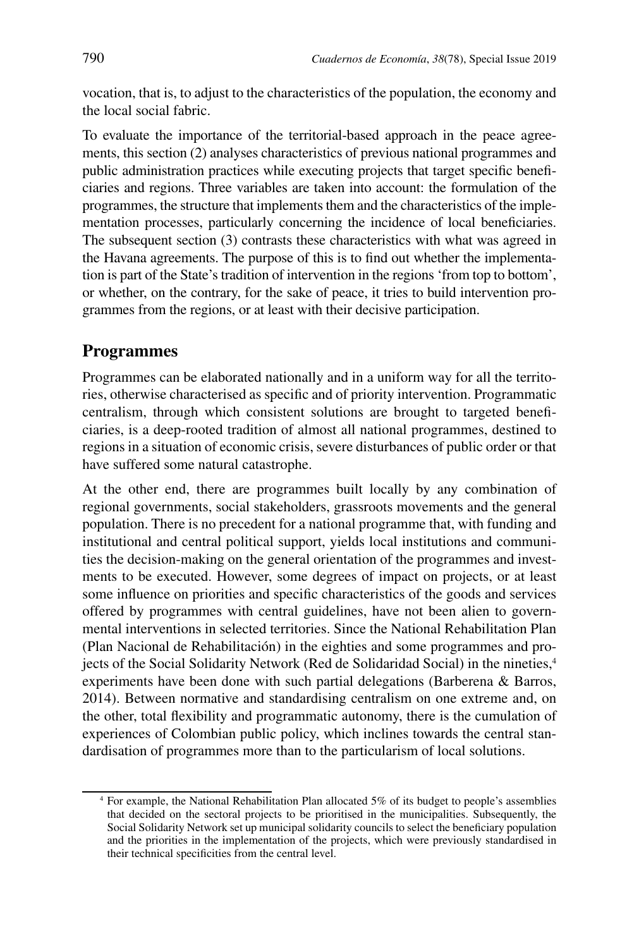vocation, that is, to adjust to the characteristics of the population, the economy and the local social fabric.

To evaluate the importance of the territorial-based approach in the peace agreements, this section (2) analyses characteristics of previous national programmes and public administration practices while executing projects that target specific beneficiaries and regions. Three variables are taken into account: the formulation of the programmes, the structure that implements them and the characteristics of the implementation processes, particularly concerning the incidence of local beneficiaries. The subsequent section (3) contrasts these characteristics with what was agreed in the Havana agreements. The purpose of this is to find out whether the implementation is part of the State's tradition of intervention in the regions 'from top to bottom', or whether, on the contrary, for the sake of peace, it tries to build intervention programmes from the regions, or at least with their decisive participation.

#### **Programmes**

Programmes can be elaborated nationally and in a uniform way for all the territories, otherwise characterised as specific and of priority intervention. Programmatic centralism, through which consistent solutions are brought to targeted beneficiaries, is a deep-rooted tradition of almost all national programmes, destined to regions in a situation of economic crisis, severe disturbances of public order or that have suffered some natural catastrophe.

At the other end, there are programmes built locally by any combination of regional governments, social stakeholders, grassroots movements and the general population. There is no precedent for a national programme that, with funding and institutional and central political support, yields local institutions and communities the decision-making on the general orientation of the programmes and investments to be executed. However, some degrees of impact on projects, or at least some influence on priorities and specific characteristics of the goods and services offered by programmes with central guidelines, have not been alien to governmental interventions in selected territories. Since the National Rehabilitation Plan (Plan Nacional de Rehabilitación) in the eighties and some programmes and projects of the Social Solidarity Network (Red de Solidaridad Social) in the nineties,<sup>4</sup> experiments have been done with such partial delegations (Barberena & Barros, 2014). Between normative and standardising centralism on one extreme and, on the other, total flexibility and programmatic autonomy, there is the cumulation of experiences of Colombian public policy, which inclines towards the central standardisation of programmes more than to the particularism of local solutions.

<sup>4</sup> For example, the National Rehabilitation Plan allocated 5% of its budget to people's assemblies that decided on the sectoral projects to be prioritised in the municipalities. Subsequently, the Social Solidarity Network set up municipal solidarity councils to select the beneficiary population and the priorities in the implementation of the projects, which were previously standardised in their technical specificities from the central level.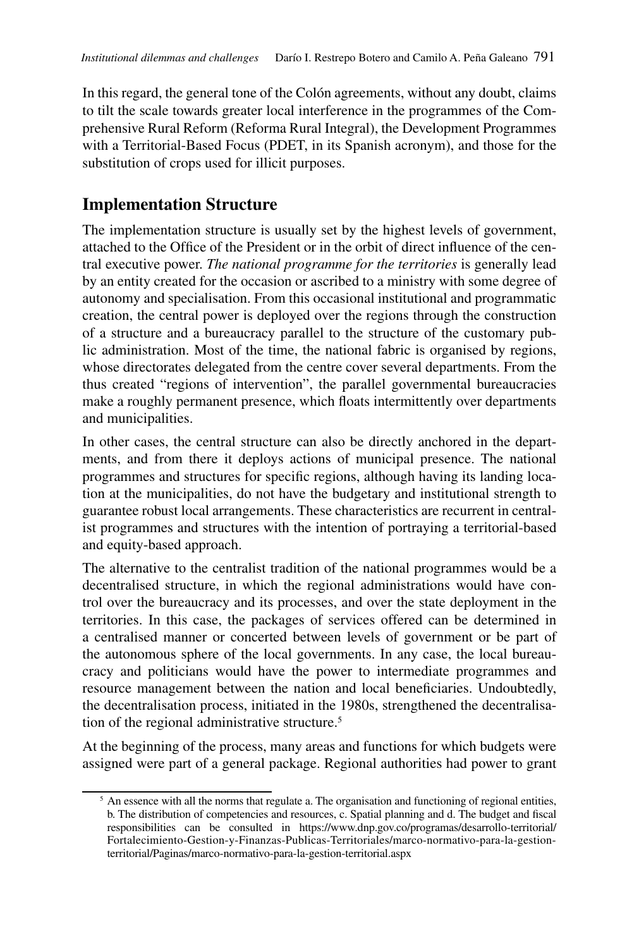In this regard, the general tone of the Colón agreements, without any doubt, claims to tilt the scale towards greater local interference in the programmes of the Comprehensive Rural Reform (Reforma Rural Integral), the Development Programmes with a Territorial-Based Focus (PDET, in its Spanish acronym), and those for the substitution of crops used for illicit purposes.

### **Implementation Structure**

The implementation structure is usually set by the highest levels of government, attached to the Office of the President or in the orbit of direct influence of the central executive power. *The national programme for the territories* is generally lead by an entity created for the occasion or ascribed to a ministry with some degree of autonomy and specialisation. From this occasional institutional and programmatic creation, the central power is deployed over the regions through the construction of a structure and a bureaucracy parallel to the structure of the customary public administration. Most of the time, the national fabric is organised by regions, whose directorates delegated from the centre cover several departments. From the thus created "regions of intervention", the parallel governmental bureaucracies make a roughly permanent presence, which floats intermittently over departments and municipalities.

In other cases, the central structure can also be directly anchored in the departments, and from there it deploys actions of municipal presence. The national programmes and structures for specific regions, although having its landing location at the municipalities, do not have the budgetary and institutional strength to guarantee robust local arrangements. These characteristics are recurrent in centralist programmes and structures with the intention of portraying a territorial-based and equity-based approach.

The alternative to the centralist tradition of the national programmes would be a decentralised structure, in which the regional administrations would have control over the bureaucracy and its processes, and over the state deployment in the territories. In this case, the packages of services offered can be determined in a centralised manner or concerted between levels of government or be part of the autonomous sphere of the local governments. In any case, the local bureaucracy and politicians would have the power to intermediate programmes and resource management between the nation and local beneficiaries. Undoubtedly, the decentralisation process, initiated in the 1980s, strengthened the decentralisation of the regional administrative structure.5

At the beginning of the process, many areas and functions for which budgets were assigned were part of a general package. Regional authorities had power to grant

<sup>&</sup>lt;sup>5</sup> An essence with all the norms that regulate a. The organisation and functioning of regional entities, b. The distribution of competencies and resources, c. Spatial planning and d. The budget and fiscal responsibilities can be consulted in https://www.dnp.gov.co/programas/desarrollo-territorial/ Fortalecimiento-Gestion-y-Finanzas-Publicas-Territoriales/marco-normativo-para-la-gestionterritorial/Paginas/marco-normativo-para-la-gestion-territorial.aspx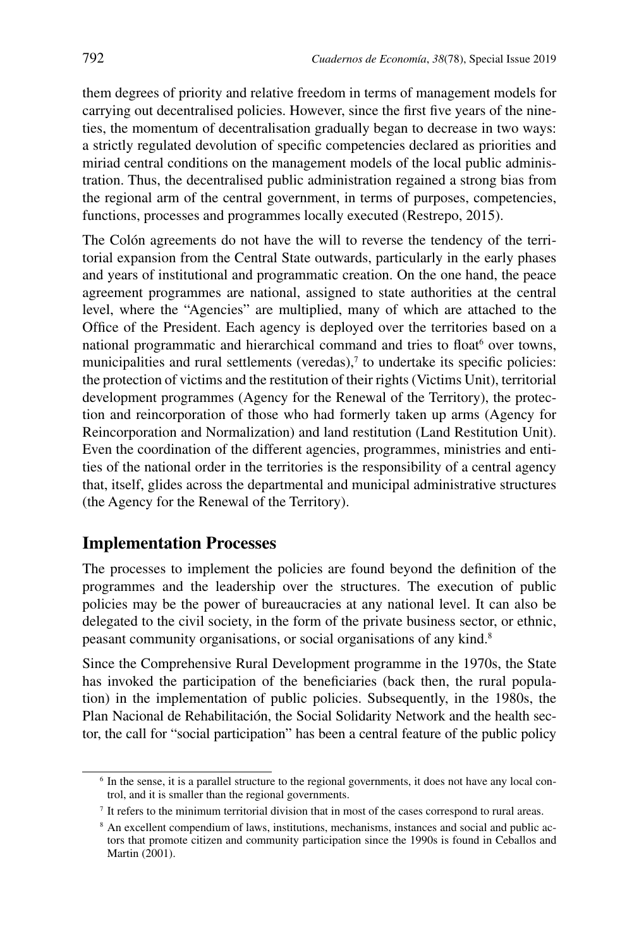them degrees of priority and relative freedom in terms of management models for carrying out decentralised policies. However, since the first five years of the nineties, the momentum of decentralisation gradually began to decrease in two ways: a strictly regulated devolution of specific competencies declared as priorities and miriad central conditions on the management models of the local public administration. Thus, the decentralised public administration regained a strong bias from the regional arm of the central government, in terms of purposes, competencies, functions, processes and programmes locally executed (Restrepo, 2015).

The Colón agreements do not have the will to reverse the tendency of the territorial expansion from the Central State outwards, particularly in the early phases and years of institutional and programmatic creation. On the one hand, the peace agreement programmes are national, assigned to state authorities at the central level, where the "Agencies" are multiplied, many of which are attached to the Office of the President. Each agency is deployed over the territories based on a national programmatic and hierarchical command and tries to float<sup>6</sup> over towns, municipalities and rural settlements (veredas), $<sup>7</sup>$  to undertake its specific policies:</sup> the protection of victims and the restitution of their rights (Victims Unit), territorial development programmes (Agency for the Renewal of the Territory), the protection and reincorporation of those who had formerly taken up arms (Agency for Reincorporation and Normalization) and land restitution (Land Restitution Unit). Even the coordination of the different agencies, programmes, ministries and entities of the national order in the territories is the responsibility of a central agency that, itself, glides across the departmental and municipal administrative structures (the Agency for the Renewal of the Territory).

#### **Implementation Processes**

The processes to implement the policies are found beyond the definition of the programmes and the leadership over the structures. The execution of public policies may be the power of bureaucracies at any national level. It can also be delegated to the civil society, in the form of the private business sector, or ethnic, peasant community organisations, or social organisations of any kind.8

Since the Comprehensive Rural Development programme in the 1970s, the State has invoked the participation of the beneficiaries (back then, the rural population) in the implementation of public policies. Subsequently, in the 1980s, the Plan Nacional de Rehabilitación, the Social Solidarity Network and the health sector, the call for "social participation" has been a central feature of the public policy

<sup>&</sup>lt;sup>6</sup> In the sense, it is a parallel structure to the regional governments, it does not have any local control, and it is smaller than the regional governments.

<sup>7</sup> It refers to the minimum territorial division that in most of the cases correspond to rural areas.

<sup>8</sup> An excellent compendium of laws, institutions, mechanisms, instances and social and public actors that promote citizen and community participation since the 1990s is found in Ceballos and Martin (2001).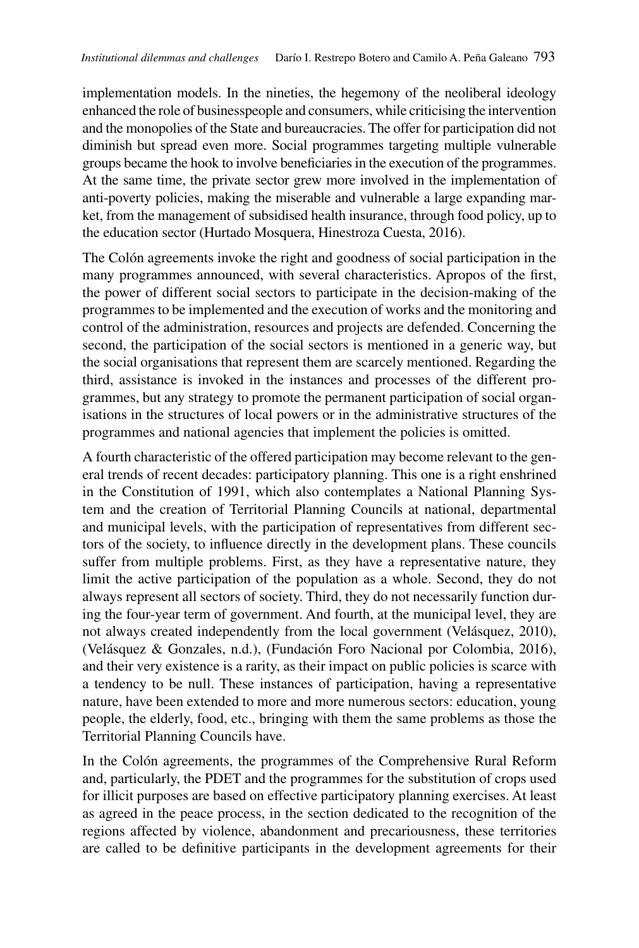implementation models. In the nineties, the hegemony of the neoliberal ideology enhanced the role of businesspeople and consumers, while criticising the intervention and the monopolies of the State and bureaucracies. The offer for participation did not diminish but spread even more. Social programmes targeting multiple vulnerable groups became the hook to involve beneficiaries in the execution of the programmes. At the same time, the private sector grew more involved in the implementation of anti-poverty policies, making the miserable and vulnerable a large expanding market, from the management of subsidised health insurance, through food policy, up to the education sector (Hurtado Mosquera, Hinestroza Cuesta, 2016).

The Colón agreements invoke the right and goodness of social participation in the many programmes announced, with several characteristics. Apropos of the first, the power of different social sectors to participate in the decision-making of the programmes to be implemented and the execution of works and the monitoring and control of the administration, resources and projects are defended. Concerning the second, the participation of the social sectors is mentioned in a generic way, but the social organisations that represent them are scarcely mentioned. Regarding the third, assistance is invoked in the instances and processes of the different programmes, but any strategy to promote the permanent participation of social organisations in the structures of local powers or in the administrative structures of the programmes and national agencies that implement the policies is omitted.

A fourth characteristic of the offered participation may become relevant to the general trends of recent decades: participatory planning. This one is a right enshrined in the Constitution of 1991, which also contemplates a National Planning System and the creation of Territorial Planning Councils at national, departmental and municipal levels, with the participation of representatives from different sectors of the society, to influence directly in the development plans. These councils suffer from multiple problems. First, as they have a representative nature, they limit the active participation of the population as a whole. Second, they do not always represent all sectors of society. Third, they do not necessarily function during the four-year term of government. And fourth, at the municipal level, they are not always created independently from the local government (Velásquez, 2010), (Velásquez & Gonzales, n.d.), (Fundación Foro Nacional por Colombia, 2016), and their very existence is a rarity, as their impact on public policies is scarce with a tendency to be null. These instances of participation, having a representative nature, have been extended to more and more numerous sectors: education, young people, the elderly, food, etc., bringing with them the same problems as those the Territorial Planning Councils have.

In the Colón agreements, the programmes of the Comprehensive Rural Reform and, particularly, the PDET and the programmes for the substitution of crops used for illicit purposes are based on effective participatory planning exercises. At least as agreed in the peace process, in the section dedicated to the recognition of the regions affected by violence, abandonment and precariousness, these territories are called to be definitive participants in the development agreements for their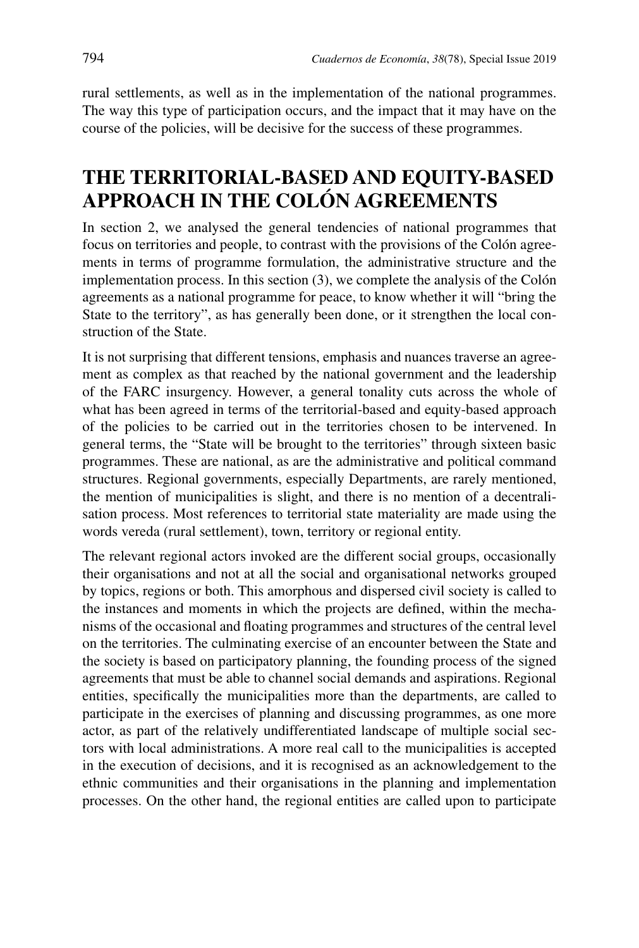rural settlements, as well as in the implementation of the national programmes. The way this type of participation occurs, and the impact that it may have on the course of the policies, will be decisive for the success of these programmes.

# **THE TERRITORIAL-BASED AND EQUITY-BASED APPROACH IN THE COLÓN AGREEMENTS**

In section 2, we analysed the general tendencies of national programmes that focus on territories and people, to contrast with the provisions of the Colón agreements in terms of programme formulation, the administrative structure and the implementation process. In this section (3), we complete the analysis of the Colón agreements as a national programme for peace, to know whether it will "bring the State to the territory", as has generally been done, or it strengthen the local construction of the State.

It is not surprising that different tensions, emphasis and nuances traverse an agreement as complex as that reached by the national government and the leadership of the FARC insurgency. However, a general tonality cuts across the whole of what has been agreed in terms of the territorial-based and equity-based approach of the policies to be carried out in the territories chosen to be intervened. In general terms, the "State will be brought to the territories" through sixteen basic programmes. These are national, as are the administrative and political command structures. Regional governments, especially Departments, are rarely mentioned, the mention of municipalities is slight, and there is no mention of a decentralisation process. Most references to territorial state materiality are made using the words vereda (rural settlement), town, territory or regional entity.

The relevant regional actors invoked are the different social groups, occasionally their organisations and not at all the social and organisational networks grouped by topics, regions or both. This amorphous and dispersed civil society is called to the instances and moments in which the projects are defined, within the mechanisms of the occasional and floating programmes and structures of the central level on the territories. The culminating exercise of an encounter between the State and the society is based on participatory planning, the founding process of the signed agreements that must be able to channel social demands and aspirations. Regional entities, specifically the municipalities more than the departments, are called to participate in the exercises of planning and discussing programmes, as one more actor, as part of the relatively undifferentiated landscape of multiple social sectors with local administrations. A more real call to the municipalities is accepted in the execution of decisions, and it is recognised as an acknowledgement to the ethnic communities and their organisations in the planning and implementation processes. On the other hand, the regional entities are called upon to participate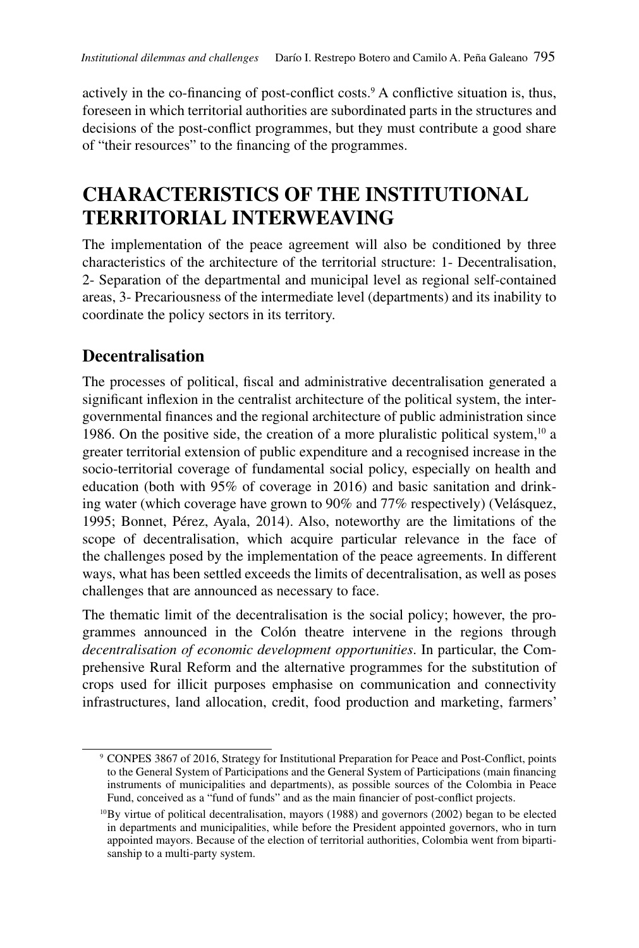actively in the co-financing of post-conflict costs.<sup>9</sup> A conflictive situation is, thus, foreseen in which territorial authorities are subordinated parts in the structures and decisions of the post-conflict programmes, but they must contribute a good share of "their resources" to the financing of the programmes.

# **CHARACTERISTICS OF THE INSTITUTIONAL TERRITORIAL INTERWEAVING**

The implementation of the peace agreement will also be conditioned by three characteristics of the architecture of the territorial structure: 1- Decentralisation, 2- Separation of the departmental and municipal level as regional self-contained areas, 3- Precariousness of the intermediate level (departments) and its inability to coordinate the policy sectors in its territory.

## **Decentralisation**

The processes of political, fiscal and administrative decentralisation generated a significant inflexion in the centralist architecture of the political system, the intergovernmental finances and the regional architecture of public administration since 1986. On the positive side, the creation of a more pluralistic political system,  $10$  a greater territorial extension of public expenditure and a recognised increase in the socio-territorial coverage of fundamental social policy, especially on health and education (both with 95% of coverage in 2016) and basic sanitation and drinking water (which coverage have grown to 90% and 77% respectively) (Velásquez, 1995; Bonnet, Pérez, Ayala, 2014). Also, noteworthy are the limitations of the scope of decentralisation, which acquire particular relevance in the face of the challenges posed by the implementation of the peace agreements. In different ways, what has been settled exceeds the limits of decentralisation, as well as poses challenges that are announced as necessary to face.

The thematic limit of the decentralisation is the social policy; however, the programmes announced in the Colón theatre intervene in the regions through *decentralisation of economic development opportunities*. In particular, the Comprehensive Rural Reform and the alternative programmes for the substitution of crops used for illicit purposes emphasise on communication and connectivity infrastructures, land allocation, credit, food production and marketing, farmers'

<sup>9</sup> CONPES 3867 of 2016, Strategy for Institutional Preparation for Peace and Post-Conflict, points to the General System of Participations and the General System of Participations (main financing instruments of municipalities and departments), as possible sources of the Colombia in Peace Fund, conceived as a "fund of funds" and as the main financier of post-conflict projects.

 $10$ By virtue of political decentralisation, mayors (1988) and governors (2002) began to be elected in departments and municipalities, while before the President appointed governors, who in turn appointed mayors. Because of the election of territorial authorities, Colombia went from bipartisanship to a multi-party system.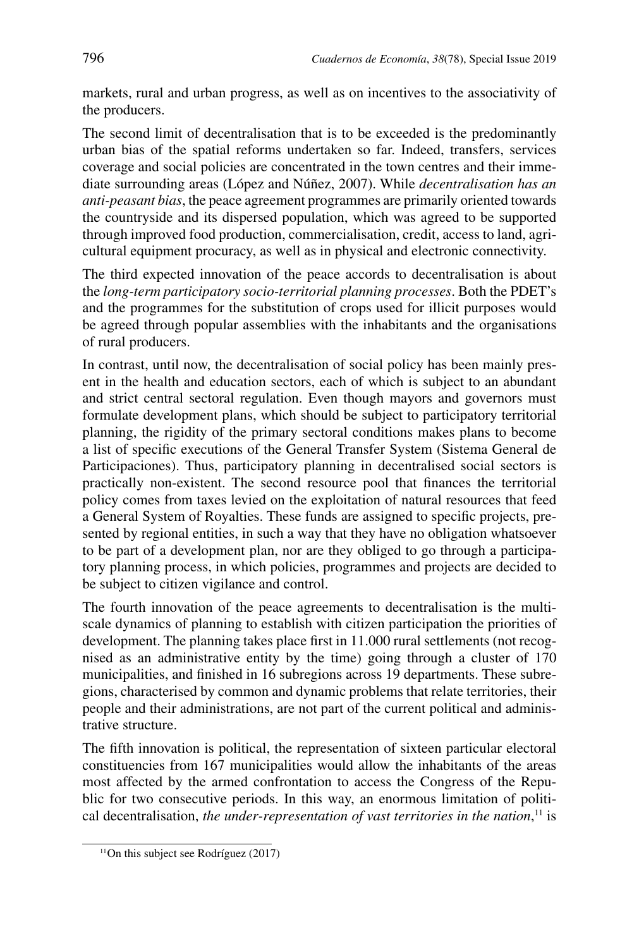markets, rural and urban progress, as well as on incentives to the associativity of the producers.

The second limit of decentralisation that is to be exceeded is the predominantly urban bias of the spatial reforms undertaken so far. Indeed, transfers, services coverage and social policies are concentrated in the town centres and their immediate surrounding areas (López and Núñez, 2007). While *decentralisation has an anti-peasant bias*, the peace agreement programmes are primarily oriented towards the countryside and its dispersed population, which was agreed to be supported through improved food production, commercialisation, credit, access to land, agricultural equipment procuracy, as well as in physical and electronic connectivity.

The third expected innovation of the peace accords to decentralisation is about the *long-term participatory socio-territorial planning processes*. Both the PDET's and the programmes for the substitution of crops used for illicit purposes would be agreed through popular assemblies with the inhabitants and the organisations of rural producers.

In contrast, until now, the decentralisation of social policy has been mainly present in the health and education sectors, each of which is subject to an abundant and strict central sectoral regulation. Even though mayors and governors must formulate development plans, which should be subject to participatory territorial planning, the rigidity of the primary sectoral conditions makes plans to become a list of specific executions of the General Transfer System (Sistema General de Participaciones). Thus, participatory planning in decentralised social sectors is practically non-existent. The second resource pool that finances the territorial policy comes from taxes levied on the exploitation of natural resources that feed a General System of Royalties. These funds are assigned to specific projects, presented by regional entities, in such a way that they have no obligation whatsoever to be part of a development plan, nor are they obliged to go through a participatory planning process, in which policies, programmes and projects are decided to be subject to citizen vigilance and control.

The fourth innovation of the peace agreements to decentralisation is the multiscale dynamics of planning to establish with citizen participation the priorities of development. The planning takes place first in 11.000 rural settlements (not recognised as an administrative entity by the time) going through a cluster of 170 municipalities, and finished in 16 subregions across 19 departments. These subregions, characterised by common and dynamic problems that relate territories, their people and their administrations, are not part of the current political and administrative structure.

The fifth innovation is political, the representation of sixteen particular electoral constituencies from 167 municipalities would allow the inhabitants of the areas most affected by the armed confrontation to access the Congress of the Republic for two consecutive periods. In this way, an enormous limitation of political decentralisation, *the under-representation of vast territories in the nation*, 11 is

<sup>11</sup>On this subject see Rodríguez (2017)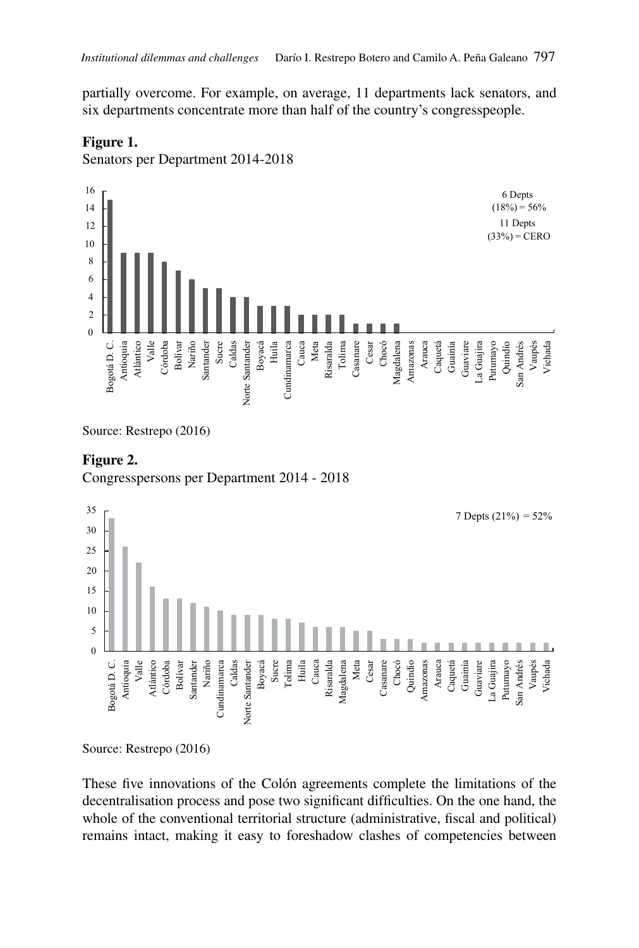partially overcome. For example, on average, 11 departments lack senators, and six departments concentrate more than half of the country's congresspeople.

#### **Figure 1.**

Senators per Department 2014-2018



Source: Restrepo (2016)

#### **Figure 2.**

Congresspersons per Department 2014 - 2018



Source: Restrepo (2016)

These five innovations of the Colón agreements complete the limitations of the decentralisation process and pose two significant difficulties. On the one hand, the whole of the conventional territorial structure (administrative, fiscal and political) remains intact, making it easy to foreshadow clashes of competencies between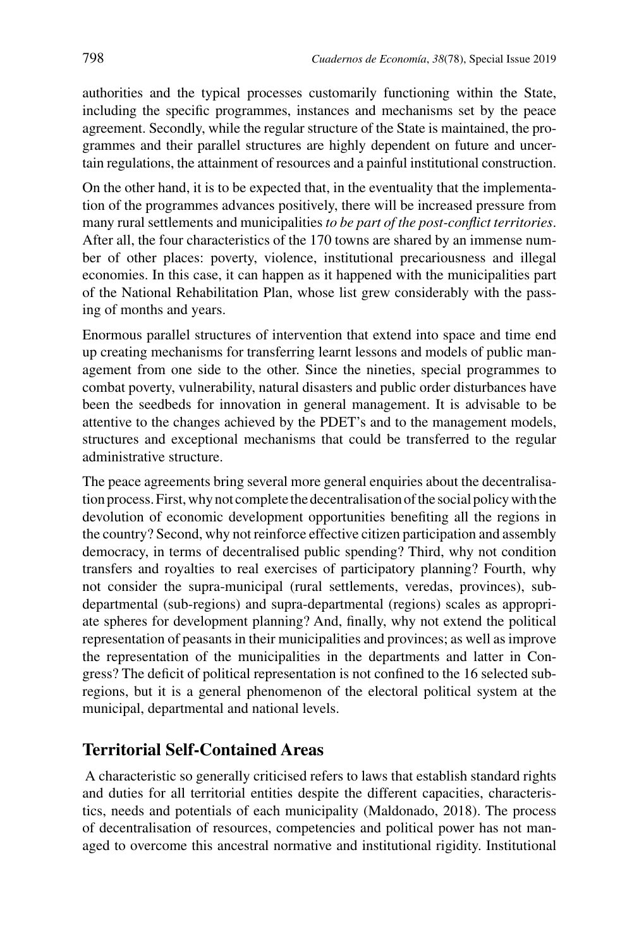authorities and the typical processes customarily functioning within the State, including the specific programmes, instances and mechanisms set by the peace agreement. Secondly, while the regular structure of the State is maintained, the programmes and their parallel structures are highly dependent on future and uncertain regulations, the attainment of resources and a painful institutional construction.

On the other hand, it is to be expected that, in the eventuality that the implementation of the programmes advances positively, there will be increased pressure from many rural settlements and municipalities *to be part of the post-conflict territories*. After all, the four characteristics of the 170 towns are shared by an immense number of other places: poverty, violence, institutional precariousness and illegal economies. In this case, it can happen as it happened with the municipalities part of the National Rehabilitation Plan, whose list grew considerably with the passing of months and years.

Enormous parallel structures of intervention that extend into space and time end up creating mechanisms for transferring learnt lessons and models of public management from one side to the other. Since the nineties, special programmes to combat poverty, vulnerability, natural disasters and public order disturbances have been the seedbeds for innovation in general management. It is advisable to be attentive to the changes achieved by the PDET's and to the management models, structures and exceptional mechanisms that could be transferred to the regular administrative structure.

The peace agreements bring several more general enquiries about the decentralisation process. First, why not complete the decentralisation of the social policy with the devolution of economic development opportunities benefiting all the regions in the country? Second, why not reinforce effective citizen participation and assembly democracy, in terms of decentralised public spending? Third, why not condition transfers and royalties to real exercises of participatory planning? Fourth, why not consider the supra-municipal (rural settlements, veredas, provinces), subdepartmental (sub-regions) and supra-departmental (regions) scales as appropriate spheres for development planning? And, finally, why not extend the political representation of peasants in their municipalities and provinces; as well as improve the representation of the municipalities in the departments and latter in Congress? The deficit of political representation is not confined to the 16 selected subregions, but it is a general phenomenon of the electoral political system at the municipal, departmental and national levels.

#### **Territorial Self-Contained Areas**

 A characteristic so generally criticised refers to laws that establish standard rights and duties for all territorial entities despite the different capacities, characteristics, needs and potentials of each municipality (Maldonado, 2018). The process of decentralisation of resources, competencies and political power has not managed to overcome this ancestral normative and institutional rigidity. Institutional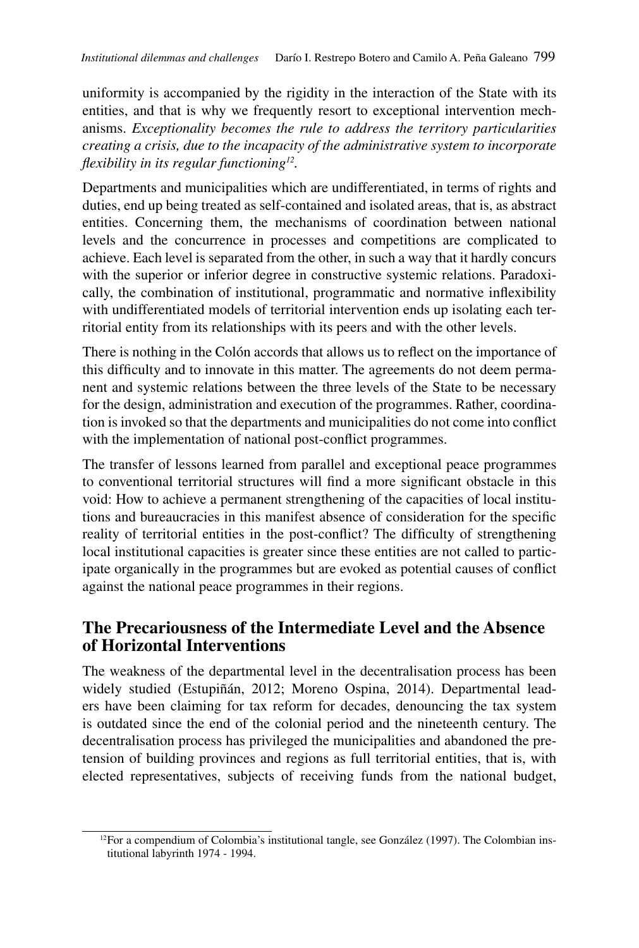uniformity is accompanied by the rigidity in the interaction of the State with its entities, and that is why we frequently resort to exceptional intervention mechanisms. *Exceptionality becomes the rule to address the territory particularities creating a crisis, due to the incapacity of the administrative system to incorporate flexibility in its regular functioning12.* 

Departments and municipalities which are undifferentiated, in terms of rights and duties, end up being treated as self-contained and isolated areas, that is, as abstract entities. Concerning them, the mechanisms of coordination between national levels and the concurrence in processes and competitions are complicated to achieve. Each level is separated from the other, in such a way that it hardly concurs with the superior or inferior degree in constructive systemic relations. Paradoxically, the combination of institutional, programmatic and normative inflexibility with undifferentiated models of territorial intervention ends up isolating each territorial entity from its relationships with its peers and with the other levels.

There is nothing in the Colón accords that allows us to reflect on the importance of this difficulty and to innovate in this matter. The agreements do not deem permanent and systemic relations between the three levels of the State to be necessary for the design, administration and execution of the programmes. Rather, coordination is invoked so that the departments and municipalities do not come into conflict with the implementation of national post-conflict programmes.

The transfer of lessons learned from parallel and exceptional peace programmes to conventional territorial structures will find a more significant obstacle in this void: How to achieve a permanent strengthening of the capacities of local institutions and bureaucracies in this manifest absence of consideration for the specific reality of territorial entities in the post-conflict? The difficulty of strengthening local institutional capacities is greater since these entities are not called to participate organically in the programmes but are evoked as potential causes of conflict against the national peace programmes in their regions.

### **The Precariousness of the Intermediate Level and the Absence of Horizontal Interventions**

The weakness of the departmental level in the decentralisation process has been widely studied (Estupiñán, 2012; Moreno Ospina, 2014). Departmental leaders have been claiming for tax reform for decades, denouncing the tax system is outdated since the end of the colonial period and the nineteenth century. The decentralisation process has privileged the municipalities and abandoned the pretension of building provinces and regions as full territorial entities, that is, with elected representatives, subjects of receiving funds from the national budget,

 $12$ For a compendium of Colombia's institutional tangle, see González (1997). The Colombian institutional labyrinth 1974 - 1994.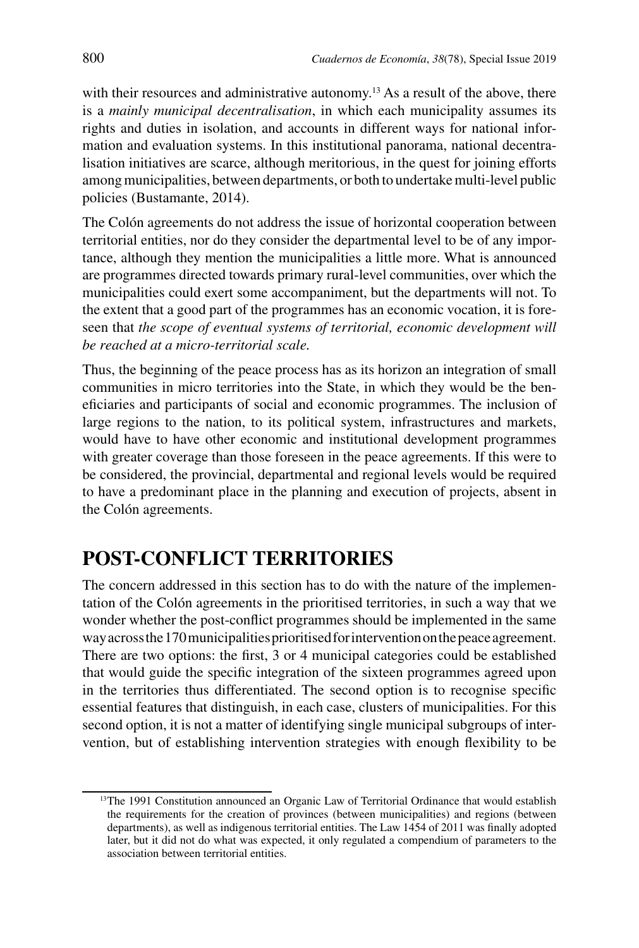with their resources and administrative autonomy.<sup>13</sup> As a result of the above, there is a *mainly municipal decentralisation*, in which each municipality assumes its rights and duties in isolation, and accounts in different ways for national information and evaluation systems. In this institutional panorama, national decentralisation initiatives are scarce, although meritorious, in the quest for joining efforts among municipalities, between departments, or both to undertake multi-level public policies (Bustamante, 2014).

The Colón agreements do not address the issue of horizontal cooperation between territorial entities, nor do they consider the departmental level to be of any importance, although they mention the municipalities a little more. What is announced are programmes directed towards primary rural-level communities, over which the municipalities could exert some accompaniment, but the departments will not. To the extent that a good part of the programmes has an economic vocation, it is foreseen that *the scope of eventual systems of territorial, economic development will be reached at a micro-territorial scale.*

Thus, the beginning of the peace process has as its horizon an integration of small communities in micro territories into the State, in which they would be the beneficiaries and participants of social and economic programmes. The inclusion of large regions to the nation, to its political system, infrastructures and markets, would have to have other economic and institutional development programmes with greater coverage than those foreseen in the peace agreements. If this were to be considered, the provincial, departmental and regional levels would be required to have a predominant place in the planning and execution of projects, absent in the Colón agreements.

## **POST-CONFLICT TERRITORIES**

The concern addressed in this section has to do with the nature of the implementation of the Colón agreements in the prioritised territories, in such a way that we wonder whether the post-conflict programmes should be implemented in the same way across the 170 municipalities prioritised for intervention on the peace agreement. There are two options: the first, 3 or 4 municipal categories could be established that would guide the specific integration of the sixteen programmes agreed upon in the territories thus differentiated. The second option is to recognise specific essential features that distinguish, in each case, clusters of municipalities. For this second option, it is not a matter of identifying single municipal subgroups of intervention, but of establishing intervention strategies with enough flexibility to be

<sup>&</sup>lt;sup>13</sup>The 1991 Constitution announced an Organic Law of Territorial Ordinance that would establish the requirements for the creation of provinces (between municipalities) and regions (between departments), as well as indigenous territorial entities. The Law 1454 of 2011 was finally adopted later, but it did not do what was expected, it only regulated a compendium of parameters to the association between territorial entities.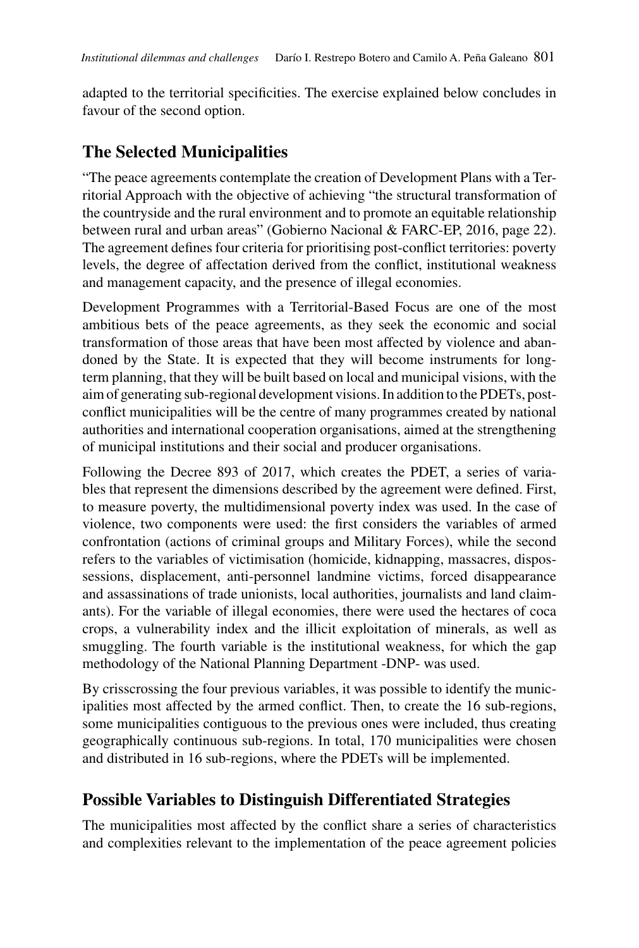adapted to the territorial specificities. The exercise explained below concludes in favour of the second option.

### **The Selected Municipalities**

"The peace agreements contemplate the creation of Development Plans with a Territorial Approach with the objective of achieving "the structural transformation of the countryside and the rural environment and to promote an equitable relationship between rural and urban areas" (Gobierno Nacional & FARC-EP, 2016, page 22). The agreement defines four criteria for prioritising post-conflict territories: poverty levels, the degree of affectation derived from the conflict, institutional weakness and management capacity, and the presence of illegal economies.

Development Programmes with a Territorial-Based Focus are one of the most ambitious bets of the peace agreements, as they seek the economic and social transformation of those areas that have been most affected by violence and abandoned by the State. It is expected that they will become instruments for longterm planning, that they will be built based on local and municipal visions, with the aim of generating sub-regional development visions. In addition to the PDETs, postconflict municipalities will be the centre of many programmes created by national authorities and international cooperation organisations, aimed at the strengthening of municipal institutions and their social and producer organisations.

Following the Decree 893 of 2017, which creates the PDET, a series of variables that represent the dimensions described by the agreement were defined. First, to measure poverty, the multidimensional poverty index was used. In the case of violence, two components were used: the first considers the variables of armed confrontation (actions of criminal groups and Military Forces), while the second refers to the variables of victimisation (homicide, kidnapping, massacres, dispossessions, displacement, anti-personnel landmine victims, forced disappearance and assassinations of trade unionists, local authorities, journalists and land claimants). For the variable of illegal economies, there were used the hectares of coca crops, a vulnerability index and the illicit exploitation of minerals, as well as smuggling. The fourth variable is the institutional weakness, for which the gap methodology of the National Planning Department -DNP- was used.

By crisscrossing the four previous variables, it was possible to identify the municipalities most affected by the armed conflict. Then, to create the 16 sub-regions, some municipalities contiguous to the previous ones were included, thus creating geographically continuous sub-regions. In total, 170 municipalities were chosen and distributed in 16 sub-regions, where the PDETs will be implemented.

### **Possible Variables to Distinguish Differentiated Strategies**

The municipalities most affected by the conflict share a series of characteristics and complexities relevant to the implementation of the peace agreement policies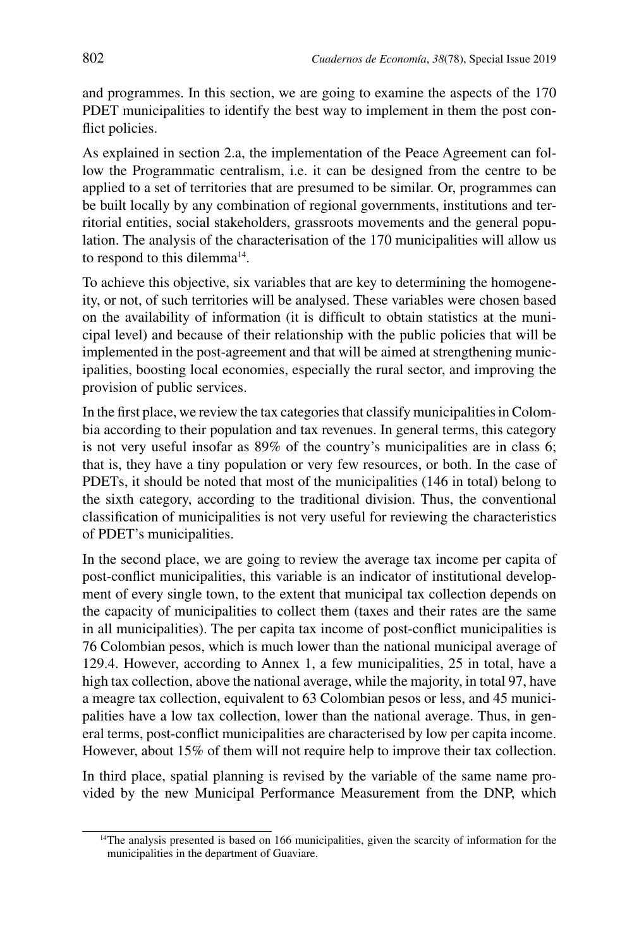and programmes. In this section, we are going to examine the aspects of the 170 PDET municipalities to identify the best way to implement in them the post conflict policies.

As explained in section 2.a, the implementation of the Peace Agreement can follow the Programmatic centralism, i.e. it can be designed from the centre to be applied to a set of territories that are presumed to be similar. Or, programmes can be built locally by any combination of regional governments, institutions and territorial entities, social stakeholders, grassroots movements and the general population. The analysis of the characterisation of the 170 municipalities will allow us to respond to this dilemma<sup>14</sup>.

To achieve this objective, six variables that are key to determining the homogeneity, or not, of such territories will be analysed. These variables were chosen based on the availability of information (it is difficult to obtain statistics at the municipal level) and because of their relationship with the public policies that will be implemented in the post-agreement and that will be aimed at strengthening municipalities, boosting local economies, especially the rural sector, and improving the provision of public services.

In the first place, we review the tax categories that classify municipalities in Colombia according to their population and tax revenues. In general terms, this category is not very useful insofar as 89% of the country's municipalities are in class 6; that is, they have a tiny population or very few resources, or both. In the case of PDETs, it should be noted that most of the municipalities (146 in total) belong to the sixth category, according to the traditional division. Thus, the conventional classification of municipalities is not very useful for reviewing the characteristics of PDET's municipalities.

In the second place, we are going to review the average tax income per capita of post-conflict municipalities, this variable is an indicator of institutional development of every single town, to the extent that municipal tax collection depends on the capacity of municipalities to collect them (taxes and their rates are the same in all municipalities). The per capita tax income of post-conflict municipalities is 76 Colombian pesos, which is much lower than the national municipal average of 129.4. However, according to Annex 1, a few municipalities, 25 in total, have a high tax collection, above the national average, while the majority, in total 97, have a meagre tax collection, equivalent to 63 Colombian pesos or less, and 45 municipalities have a low tax collection, lower than the national average. Thus, in general terms, post-conflict municipalities are characterised by low per capita income. However, about 15% of them will not require help to improve their tax collection.

In third place, spatial planning is revised by the variable of the same name provided by the new Municipal Performance Measurement from the DNP, which

<sup>&</sup>lt;sup>14</sup>The analysis presented is based on 166 municipalities, given the scarcity of information for the municipalities in the department of Guaviare.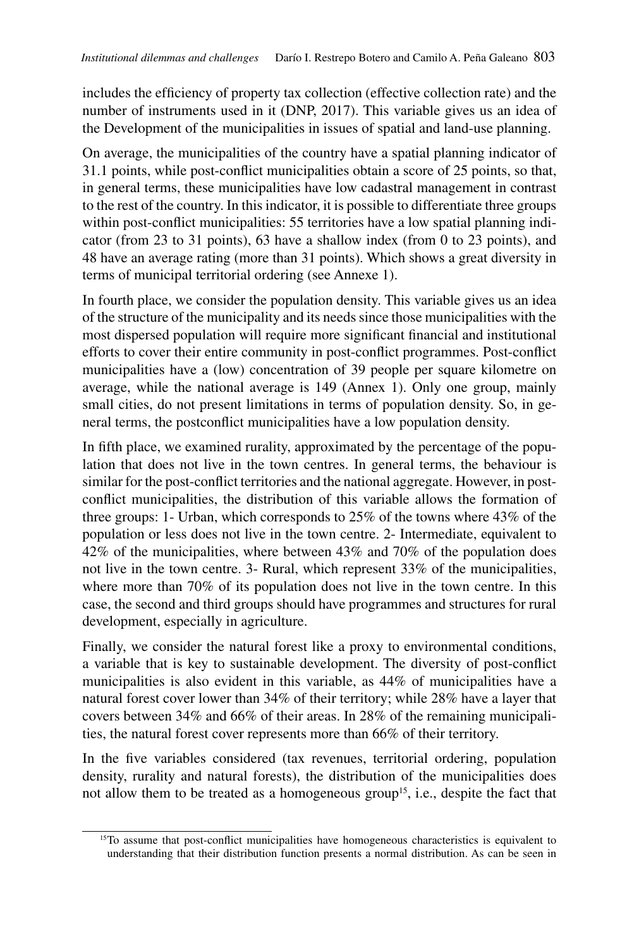includes the efficiency of property tax collection (effective collection rate) and the number of instruments used in it (DNP, 2017). This variable gives us an idea of the Development of the municipalities in issues of spatial and land-use planning.

On average, the municipalities of the country have a spatial planning indicator of 31.1 points, while post-conflict municipalities obtain a score of 25 points, so that, in general terms, these municipalities have low cadastral management in contrast to the rest of the country. In this indicator, it is possible to differentiate three groups within post-conflict municipalities: 55 territories have a low spatial planning indicator (from 23 to 31 points), 63 have a shallow index (from 0 to 23 points), and 48 have an average rating (more than 31 points). Which shows a great diversity in terms of municipal territorial ordering (see Annexe 1).

In fourth place, we consider the population density. This variable gives us an idea of the structure of the municipality and its needs since those municipalities with the most dispersed population will require more significant financial and institutional efforts to cover their entire community in post-conflict programmes. Post-conflict municipalities have a (low) concentration of 39 people per square kilometre on average, while the national average is 149 (Annex 1). Only one group, mainly small cities, do not present limitations in terms of population density. So, in general terms, the postconflict municipalities have a low population density.

In fifth place, we examined rurality, approximated by the percentage of the population that does not live in the town centres. In general terms, the behaviour is similar for the post-conflict territories and the national aggregate. However, in postconflict municipalities, the distribution of this variable allows the formation of three groups: 1- Urban, which corresponds to 25% of the towns where 43% of the population or less does not live in the town centre. 2- Intermediate, equivalent to 42% of the municipalities, where between 43% and 70% of the population does not live in the town centre. 3- Rural, which represent 33% of the municipalities, where more than 70% of its population does not live in the town centre. In this case, the second and third groups should have programmes and structures for rural development, especially in agriculture.

Finally, we consider the natural forest like a proxy to environmental conditions, a variable that is key to sustainable development. The diversity of post-conflict municipalities is also evident in this variable, as 44% of municipalities have a natural forest cover lower than 34% of their territory; while 28% have a layer that covers between 34% and 66% of their areas. In 28% of the remaining municipalities, the natural forest cover represents more than 66% of their territory.

In the five variables considered (tax revenues, territorial ordering, population density, rurality and natural forests), the distribution of the municipalities does not allow them to be treated as a homogeneous group<sup>15</sup>, i.e., despite the fact that

<sup>&</sup>lt;sup>15</sup>To assume that post-conflict municipalities have homogeneous characteristics is equivalent to understanding that their distribution function presents a normal distribution. As can be seen in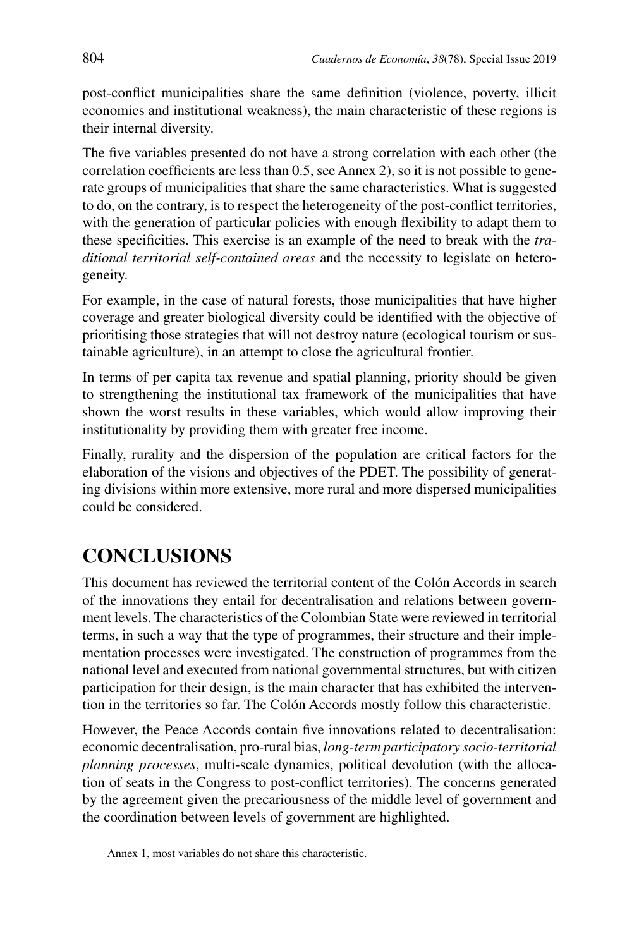post-conflict municipalities share the same definition (violence, poverty, illicit economies and institutional weakness), the main characteristic of these regions is their internal diversity.

The five variables presented do not have a strong correlation with each other (the correlation coefficients are less than 0.5, see Annex 2), so it is not possible to generate groups of municipalities that share the same characteristics. What is suggested to do, on the contrary, is to respect the heterogeneity of the post-conflict territories, with the generation of particular policies with enough flexibility to adapt them to these specificities. This exercise is an example of the need to break with the *traditional territorial self-contained areas* and the necessity to legislate on heterogeneity.

For example, in the case of natural forests, those municipalities that have higher coverage and greater biological diversity could be identified with the objective of prioritising those strategies that will not destroy nature (ecological tourism or sustainable agriculture), in an attempt to close the agricultural frontier.

In terms of per capita tax revenue and spatial planning, priority should be given to strengthening the institutional tax framework of the municipalities that have shown the worst results in these variables, which would allow improving their institutionality by providing them with greater free income.

Finally, rurality and the dispersion of the population are critical factors for the elaboration of the visions and objectives of the PDET. The possibility of generating divisions within more extensive, more rural and more dispersed municipalities could be considered.

# **CONCLUSIONS**

This document has reviewed the territorial content of the Colón Accords in search of the innovations they entail for decentralisation and relations between government levels. The characteristics of the Colombian State were reviewed in territorial terms, in such a way that the type of programmes, their structure and their implementation processes were investigated. The construction of programmes from the national level and executed from national governmental structures, but with citizen participation for their design, is the main character that has exhibited the intervention in the territories so far. The Colón Accords mostly follow this characteristic.

However, the Peace Accords contain five innovations related to decentralisation: economic decentralisation, pro-rural bias, *long-term participatory socio-territorial planning processes*, multi-scale dynamics, political devolution (with the allocation of seats in the Congress to post-conflict territories). The concerns generated by the agreement given the precariousness of the middle level of government and the coordination between levels of government are highlighted.

Annex 1, most variables do not share this characteristic.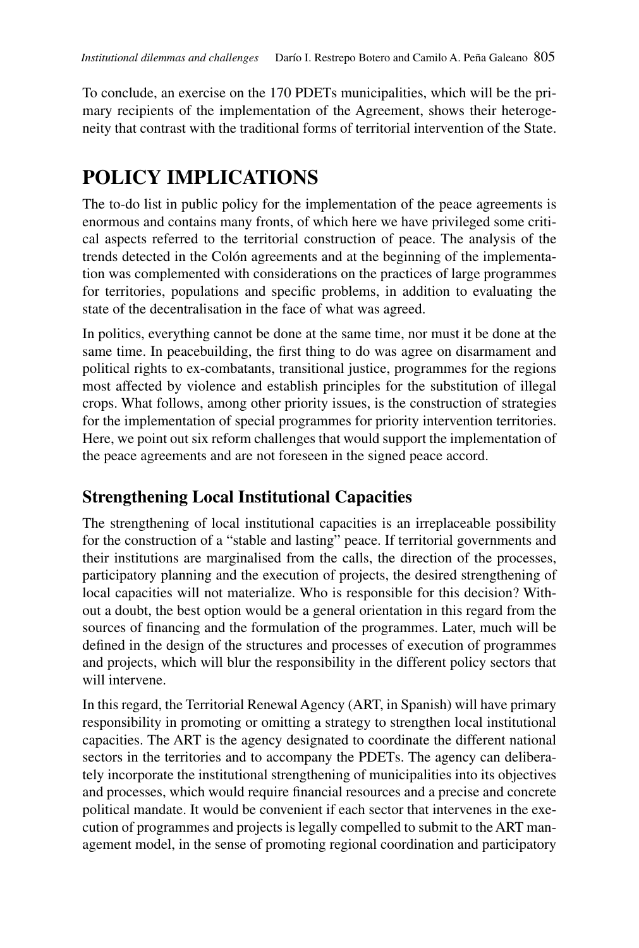To conclude, an exercise on the 170 PDETs municipalities, which will be the primary recipients of the implementation of the Agreement, shows their heterogeneity that contrast with the traditional forms of territorial intervention of the State.

# **POLICY IMPLICATIONS**

The to-do list in public policy for the implementation of the peace agreements is enormous and contains many fronts, of which here we have privileged some critical aspects referred to the territorial construction of peace. The analysis of the trends detected in the Colón agreements and at the beginning of the implementation was complemented with considerations on the practices of large programmes for territories, populations and specific problems, in addition to evaluating the state of the decentralisation in the face of what was agreed.

In politics, everything cannot be done at the same time, nor must it be done at the same time. In peacebuilding, the first thing to do was agree on disarmament and political rights to ex-combatants, transitional justice, programmes for the regions most affected by violence and establish principles for the substitution of illegal crops. What follows, among other priority issues, is the construction of strategies for the implementation of special programmes for priority intervention territories. Here, we point out six reform challenges that would support the implementation of the peace agreements and are not foreseen in the signed peace accord.

## **Strengthening Local Institutional Capacities**

The strengthening of local institutional capacities is an irreplaceable possibility for the construction of a "stable and lasting" peace. If territorial governments and their institutions are marginalised from the calls, the direction of the processes, participatory planning and the execution of projects, the desired strengthening of local capacities will not materialize. Who is responsible for this decision? Without a doubt, the best option would be a general orientation in this regard from the sources of financing and the formulation of the programmes. Later, much will be defined in the design of the structures and processes of execution of programmes and projects, which will blur the responsibility in the different policy sectors that will intervene.

In this regard, the Territorial Renewal Agency (ART, in Spanish) will have primary responsibility in promoting or omitting a strategy to strengthen local institutional capacities. The ART is the agency designated to coordinate the different national sectors in the territories and to accompany the PDETs. The agency can deliberately incorporate the institutional strengthening of municipalities into its objectives and processes, which would require financial resources and a precise and concrete political mandate. It would be convenient if each sector that intervenes in the execution of programmes and projects is legally compelled to submit to the ART management model, in the sense of promoting regional coordination and participatory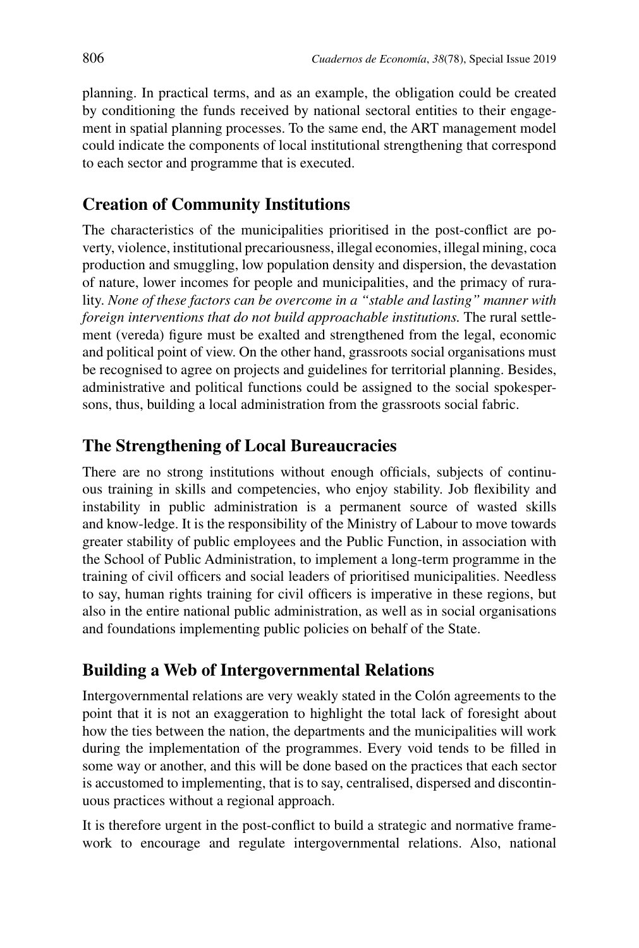planning. In practical terms, and as an example, the obligation could be created by conditioning the funds received by national sectoral entities to their engagement in spatial planning processes. To the same end, the ART management model could indicate the components of local institutional strengthening that correspond to each sector and programme that is executed.

### **Creation of Community Institutions**

The characteristics of the municipalities prioritised in the post-conflict are poverty, violence, institutional precariousness, illegal economies, illegal mining, coca production and smuggling, low population density and dispersion, the devastation of nature, lower incomes for people and municipalities, and the primacy of rurality. *None of these factors can be overcome in a "stable and lasting" manner with foreign interventions that do not build approachable institutions.* The rural settlement (vereda) figure must be exalted and strengthened from the legal, economic and political point of view. On the other hand, grassroots social organisations must be recognised to agree on projects and guidelines for territorial planning. Besides, administrative and political functions could be assigned to the social spokespersons, thus, building a local administration from the grassroots social fabric.

### **The Strengthening of Local Bureaucracies**

There are no strong institutions without enough officials, subjects of continuous training in skills and competencies, who enjoy stability. Job flexibility and instability in public administration is a permanent source of wasted skills and know-ledge. It is the responsibility of the Ministry of Labour to move towards greater stability of public employees and the Public Function, in association with the School of Public Administration, to implement a long-term programme in the training of civil officers and social leaders of prioritised municipalities. Needless to say, human rights training for civil officers is imperative in these regions, but also in the entire national public administration, as well as in social organisations and foundations implementing public policies on behalf of the State.

### **Building a Web of Intergovernmental Relations**

Intergovernmental relations are very weakly stated in the Colón agreements to the point that it is not an exaggeration to highlight the total lack of foresight about how the ties between the nation, the departments and the municipalities will work during the implementation of the programmes. Every void tends to be filled in some way or another, and this will be done based on the practices that each sector is accustomed to implementing, that is to say, centralised, dispersed and discontinuous practices without a regional approach.

It is therefore urgent in the post-conflict to build a strategic and normative framework to encourage and regulate intergovernmental relations. Also, national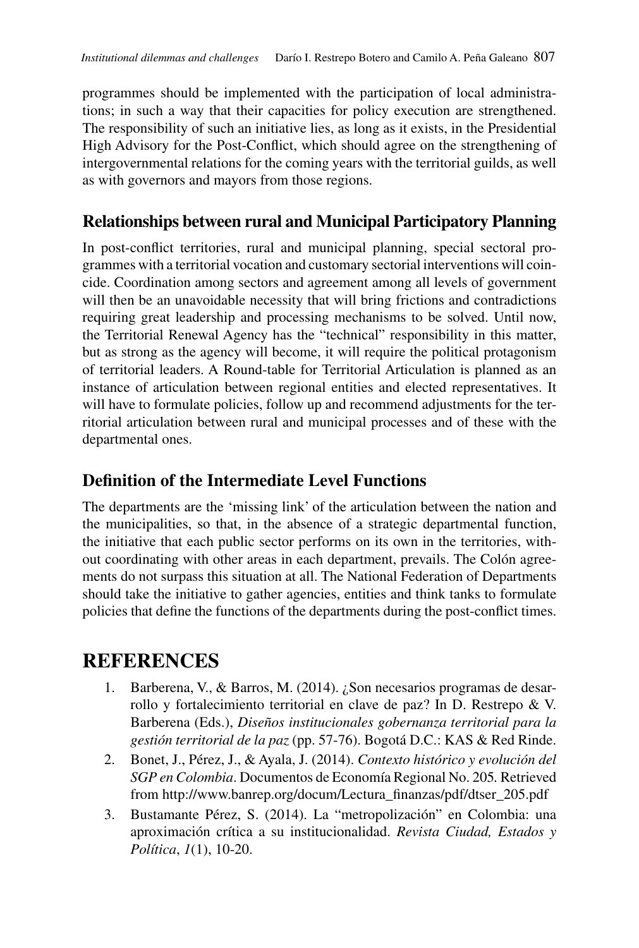programmes should be implemented with the participation of local administrations; in such a way that their capacities for policy execution are strengthened. The responsibility of such an initiative lies, as long as it exists, in the Presidential High Advisory for the Post-Conflict, which should agree on the strengthening of intergovernmental relations for the coming years with the territorial guilds, as well as with governors and mayors from those regions.

### **Relationships between rural and Municipal Participatory Planning**

In post-conflict territories, rural and municipal planning, special sectoral programmes with a territorial vocation and customary sectorial interventions will coincide. Coordination among sectors and agreement among all levels of government will then be an unavoidable necessity that will bring frictions and contradictions requiring great leadership and processing mechanisms to be solved. Until now, the Territorial Renewal Agency has the "technical" responsibility in this matter, but as strong as the agency will become, it will require the political protagonism of territorial leaders. A Round-table for Territorial Articulation is planned as an instance of articulation between regional entities and elected representatives. It will have to formulate policies, follow up and recommend adjustments for the territorial articulation between rural and municipal processes and of these with the departmental ones.

### **Definition of the Intermediate Level Functions**

The departments are the 'missing link' of the articulation between the nation and the municipalities, so that, in the absence of a strategic departmental function, the initiative that each public sector performs on its own in the territories, without coordinating with other areas in each department, prevails. The Colón agreements do not surpass this situation at all. The National Federation of Departments should take the initiative to gather agencies, entities and think tanks to formulate policies that define the functions of the departments during the post-conflict times.

# **REFERENCES**

- 1. Barberena, V., & Barros, M. (2014). ¿Son necesarios programas de desarrollo y fortalecimiento territorial en clave de paz? In D. Restrepo & V. Barberena (Eds.), *Diseños institucionales gobernanza territorial para la gestión territorial de la paz* (pp. 57-76). Bogotá D.C.: KAS & Red Rinde.
- 2. Bonet, J., Pérez, J., & Ayala, J. (2014). *Contexto histórico y evolución del SGP en Colombia*. Documentos de Economía Regional No. 205*.* Retrieved from http://www.banrep.org/docum/Lectura\_finanzas/pdf/dtser\_205.pdf
- 3. Bustamante Pérez, S. (2014). La "metropolización" en Colombia: una aproximación crítica a su institucionalidad. *Revista Ciudad, Estados y Política*, *1*(1), 10-20.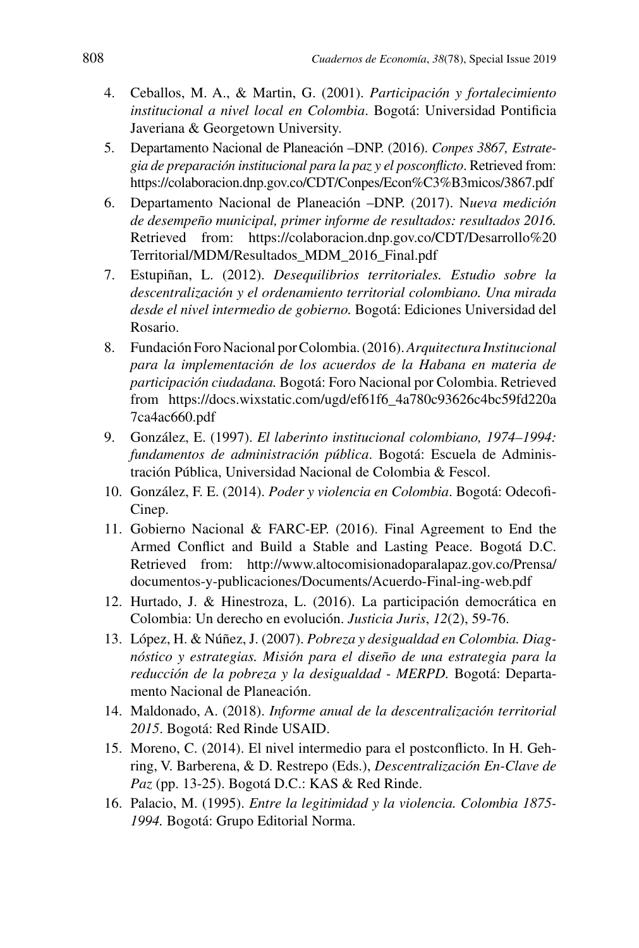- 4. Ceballos, M. A., & Martin, G. (2001). *Participación y fortalecimiento institucional a nivel local en Colombia*. Bogotá: Universidad Pontificia Javeriana & Georgetown University.
- 5. Departamento Nacional de Planeación –DNP. (2016). *Conpes 3867, Estrategia de preparación institucional para la paz y el posconflicto*. Retrieved from: <https://colaboracion.dnp.gov.co/CDT/Conpes/Econ%C3%B3micos/3867.pdf>
- 6. Departamento Nacional de Planeación –DNP. (2017). N*ueva medición de desempeño municipal, primer informe de resultados: resultados 2016.* Retrieved from: [https://colaboracion.dnp.gov.co/CDT/Desarrollo%20](https://colaboracion.dnp.gov.co/CDT/Desarrollo%20Territorial/MDM/Resultados_MDM_2016_Final.pdf) [Territorial/MDM/Resultados\\_MDM\\_2016\\_Final.pdf](https://colaboracion.dnp.gov.co/CDT/Desarrollo%20Territorial/MDM/Resultados_MDM_2016_Final.pdf)
- 7. Estupiñan, L. (2012). *Desequilibrios territoriales. Estudio sobre la descentralización y el ordenamiento territorial colombiano. Una mirada desde el nivel intermedio de gobierno.* Bogotá: Ediciones Universidad del Rosario.
- 8. Fundación Foro Nacional por Colombia. (2016). *Arquitectura Institucional para la implementación de los acuerdos de la Habana en materia de participación ciudadana.* Bogotá: Foro Nacional por Colombia. Retrieved from [https://docs.wixstatic.com/ugd/ef61f6\\_4a780c93626c4bc59fd220a](https://docs.wixstatic.com/ugd/ef61f6_4a780c93626c4bc59fd220a7ca4ac660.pdf) [7ca4ac660.pdf](https://docs.wixstatic.com/ugd/ef61f6_4a780c93626c4bc59fd220a7ca4ac660.pdf)
- 9. González, E. (1997). *El laberinto institucional colombiano, 1974–1994: fundamentos de administración pública*. Bogotá: Escuela de Administración Pública, Universidad Nacional de Colombia & Fescol.
- 10. González, F. E. (2014). *Poder y violencia en Colombia*. Bogotá: Odecofi-Cinep.
- 11. Gobierno Nacional & FARC-EP. (2016). Final Agreement to End the Armed Conflict and Build a Stable and Lasting Peace. Bogotá D.C. Retrieved from: [http://www.altocomisionadoparalapaz.gov.co/Prensa/](http://www.altocomisionadoparalapaz.gov.co/Prensa/documentos-y-publicaciones/Documents/Acuerdo-Final-ing-web.pdf) [documentos-y-publicaciones/Documents/Acuerdo-Final-ing-web.pdf](http://www.altocomisionadoparalapaz.gov.co/Prensa/documentos-y-publicaciones/Documents/Acuerdo-Final-ing-web.pdf)
- 12. Hurtado, J. & Hinestroza, L. (2016). La participación democrática en Colombia: Un derecho en evolución. *Justicia Juris*, *12*(2), 59-76.
- 13. López, H. & Núñez, J. (2007). *Pobreza y desigualdad en Colombia. Diagnóstico y estrategias. Misión para el diseño de una estrategia para la reducción de la pobreza y la desigualdad - MERPD.* Bogotá: Departamento Nacional de Planeación.
- 14. Maldonado, A. (2018). *Informe anual de la descentralización territorial 2015*. Bogotá: Red Rinde USAID.
- 15. Moreno, C. (2014). El nivel intermedio para el postconflicto. In H. Gehring, V. Barberena, & D. Restrepo (Eds.), *Descentralización En-Clave de Paz* (pp. 13-25). Bogotá D.C.: KAS & Red Rinde.
- 16. Palacio, M. (1995). *Entre la legitimidad y la violencia. Colombia 1875- 1994.* Bogotá: Grupo Editorial Norma.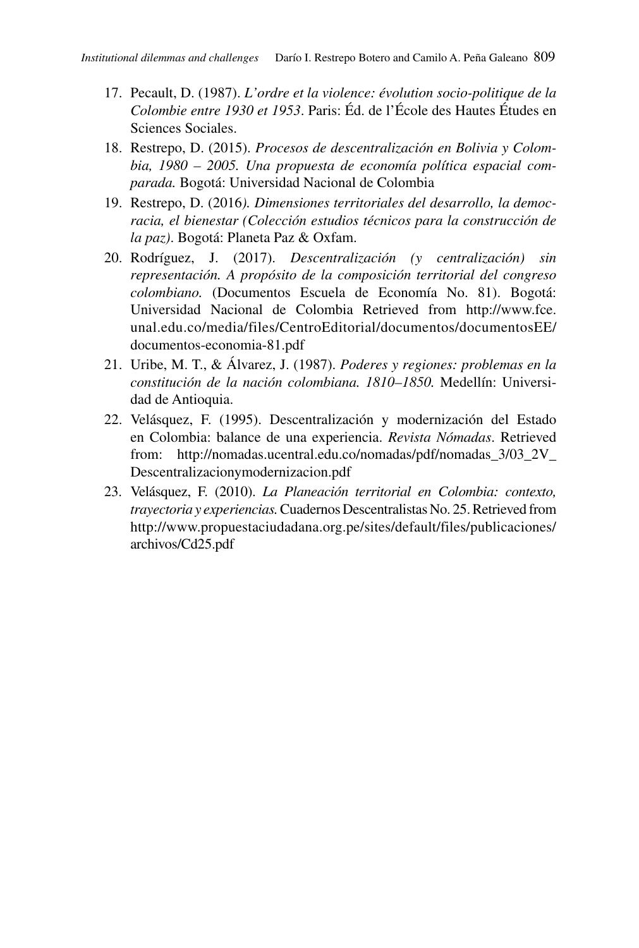- 17. Pecault, D. (1987). *L'ordre et la violence: évolution socio-politique de la Colombie entre 1930 et 1953*. Paris: Éd. de l'École des Hautes Études en Sciences Sociales.
- 18. Restrepo, D. (2015). *Procesos de descentralización en Bolivia y Colombia, 1980 – 2005. Una propuesta de economía política espacial comparada.* Bogotá: Universidad Nacional de Colombia
- 19. Restrepo, D. (2016*). Dimensiones territoriales del desarrollo, la democracia, el bienestar (Colección estudios técnicos para la construcción de la paz)*. Bogotá: Planeta Paz & Oxfam.
- 20. Rodríguez, J. (2017). *Descentralización (y centralización) sin representación. A propósito de la composición territorial del congreso colombiano.* (Documentos Escuela de Economía No. 81). Bogotá: Universidad Nacional de Colombia Retrieved from [http://www.fce.](http://www.fce.unal.edu.co/media/files/CentroEditorial/documentos/documentosEE/documentos-economia-81.pdf) [unal.edu.co/media/files/CentroEditorial/documentos/documentosEE/](http://www.fce.unal.edu.co/media/files/CentroEditorial/documentos/documentosEE/documentos-economia-81.pdf) [documentos-economia-81.pdf](http://www.fce.unal.edu.co/media/files/CentroEditorial/documentos/documentosEE/documentos-economia-81.pdf)
- 21. Uribe, M. T., & Álvarez, J. (1987). *Poderes y regiones: problemas en la constitución de la nación colombiana. 1810–1850.* Medellín: Universidad de Antioquia.
- 22. Velásquez, F. (1995). Descentralización y modernización del Estado en Colombia: balance de una experiencia. *Revista Nómadas*. Retrieved from: [http://nomadas.ucentral.edu.co/nomadas/pdf/nomadas\\_3/03\\_2V\\_](http://nomadas.ucentral.edu.co/nomadas/pdf/nomadas_3/03_2V_Descentralizacionymodernizacion.pdf) [Descentralizacionymodernizacion.pdf](http://nomadas.ucentral.edu.co/nomadas/pdf/nomadas_3/03_2V_Descentralizacionymodernizacion.pdf)
- 23. Velásquez, F. (2010). *La Planeación territorial en Colombia: contexto, trayectoria y experiencias.* Cuadernos Descentralistas No. 25. Retrieved from [http://www.propuestaciudadana.org.pe/sites/default/files/publicaciones/](http://www.propuestaciudadana.org.pe/sites/default/files/publicaciones/archivos/Cd25.pdf) [archivos/Cd25.pdf](http://www.propuestaciudadana.org.pe/sites/default/files/publicaciones/archivos/Cd25.pdf)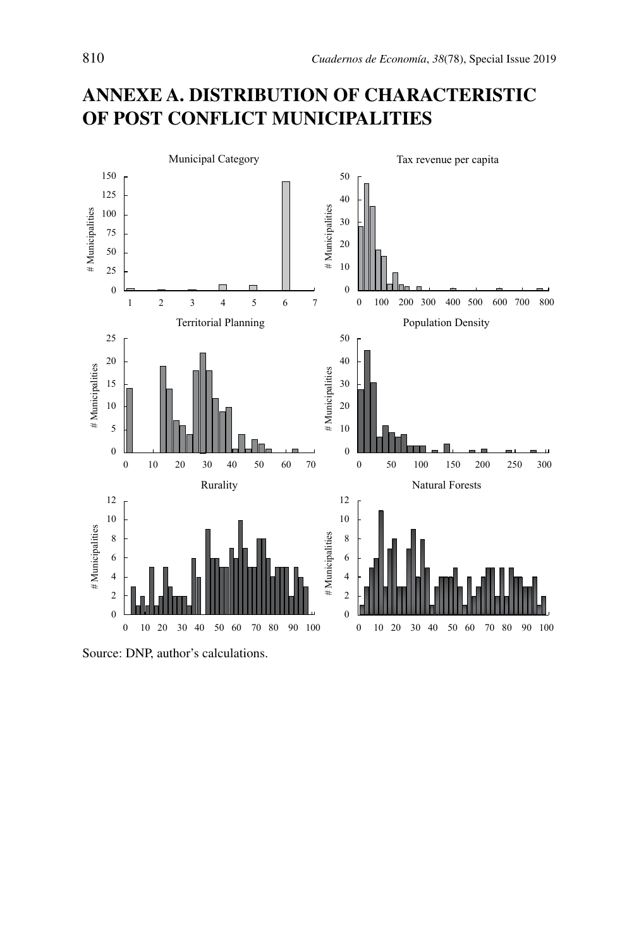## **ANNEXE A. DISTRIBUTION OF CHARACTERISTIC OF POST CONFLICT MUNICIPALITIES**



Source: DNP, author's calculations.